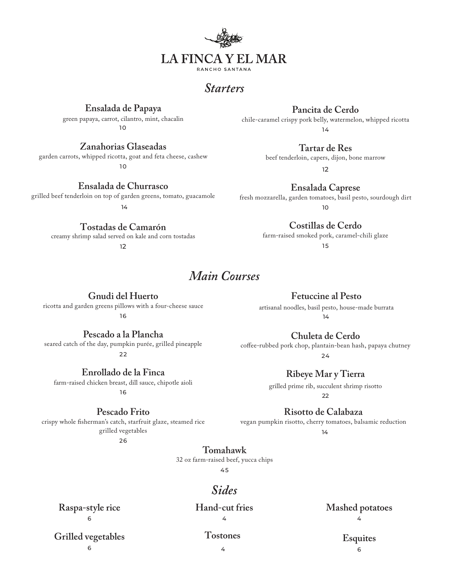

# *Starters*

### **Ensalada de Papaya**

green papaya, carrot, cilantro, mint, chacalin  $1<sub>0</sub>$ 

#### **Zanahorias Glaseadas**

garden carrots, whipped ricotta, goat and feta cheese, cashew

10

**Ensalada de Churrasco** 

grilled beef tenderloin on top of garden greens, tomato, guacamole 14

> **Tostadas de Camarón** creamy shrimp salad served on kale and corn tostadas

12

## *Main Courses*

**Gnudi del Huerto** ricotta and garden greens pillows with a four-cheese sauce

16

**Pescado a la Plancha**

seared catch of the day, pumpkin purée, grilled pineapple 22

**Enrollado de la Finca** farm-raised chicken breast, dill sauce, chipotle aioli

16

### **Pescado Frito**

crispy whole fisherman's catch, starfruit glaze, steamed rice grilled vegetables

26

**Pancita de Cerdo** chile-caramel crispy pork belly, watermelon, whipped ricotta 14

> **Tartar de Res** beef tenderloin, capers, dijon, bone marrow

> > 12

**Ensalada Caprese** fresh mozzarella, garden tomatoes, basil pesto, sourdough dirt 10

**Costillas de Cerdo**

farm-raised smoked pork, caramel-chili glaze 15

**Fetuccine al Pesto**

artisanal noodles, basil pesto, house-made burrata 14

**Chuleta de Cerdo**

coffee-rubbed pork chop, plantain-bean hash, papaya chutney 24

**Ribeye Mar y Tierra**

grilled prime rib, succulent shrimp risotto  $22$ 

**Risotto de Calabaza**

vegan pumpkin risotto, cherry tomatoes, balsamic reduction

14

**Tomahawk**

32 oz farm-raised beef, yucca chips

45

# *Sides*

**Raspa-style rice** 6

**Hand-cut fries** 4

**Mashed potatoes** 4

**Grilled vegetables** 6

**Tostones** 4

#### **Esquites** 6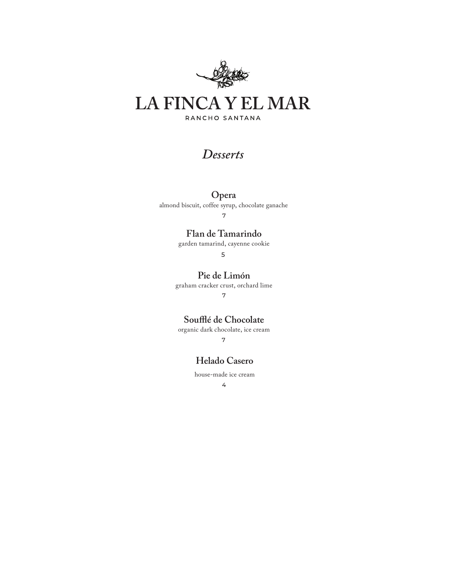

# *Desserts*

## **Opera**

almond biscuit, coffee syrup, chocolate ganache

7

## **Flan de Tamarindo**

garden tamarind, cayenne cookie

5

**Pie de Limón**

graham cracker crust, orchard lime

7

**Soufflé de Chocolate**

organic dark chocolate, ice cream 7

## **Helado Casero**

house-made ice cream

4